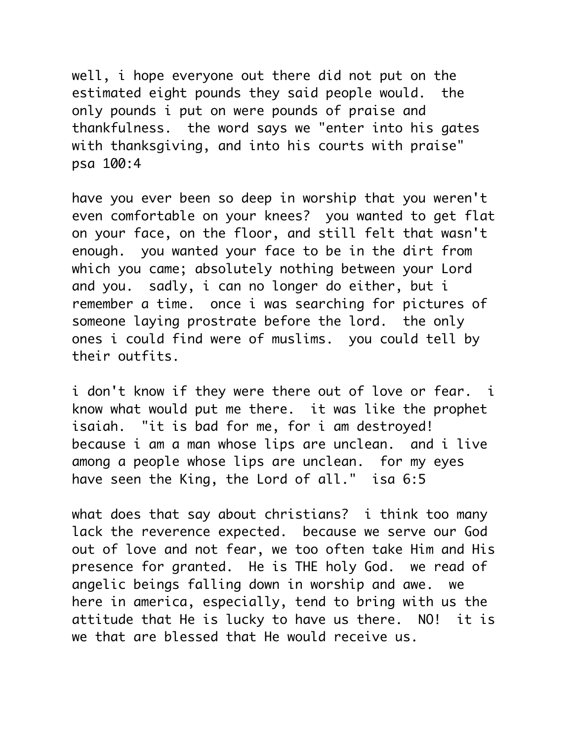well, i hope everyone out there did not put on the estimated eight pounds they said people would. the only pounds i put on were pounds of praise and thankfulness. the word says we "enter into his gates with thanksgiving, and into his courts with praise" psa 100:4

have you ever been so deep in worship that you weren't even comfortable on your knees? you wanted to get flat on your face, on the floor, and still felt that wasn't enough. you wanted your face to be in the dirt from which you came; absolutely nothing between your Lord and you. sadly, i can no longer do either, but i remember a time. once i was searching for pictures of someone laying prostrate before the lord. the only ones i could find were of muslims. you could tell by their outfits.

i don't know if they were there out of love or fear. i know what would put me there. it was like the prophet isaiah. "it is bad for me, for i am destroyed! because i am a man whose lips are unclean. and i live among a people whose lips are unclean. for my eyes have seen the King, the Lord of all." isa 6:5

what does that say about christians? i think too many lack the reverence expected. because we serve our God out of love and not fear, we too often take Him and His presence for granted. He is THE holy God. we read of angelic beings falling down in worship and awe. we here in america, especially, tend to bring with us the attitude that He is lucky to have us there. NO! it is we that are blessed that He would receive us.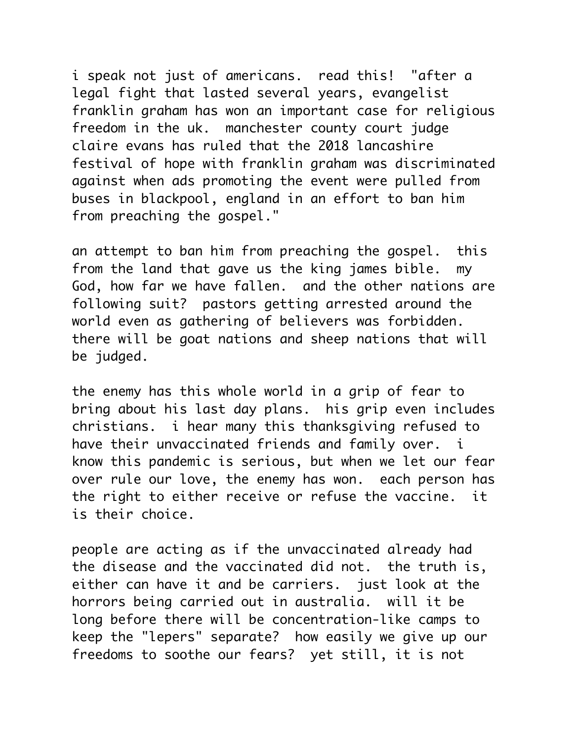i speak not just of americans. read this! "after a legal fight that lasted several years, evangelist franklin graham has won an important case for religious freedom in the uk. manchester county court judge claire evans has ruled that the 2018 lancashire festival of hope with franklin graham was discriminated against when ads promoting the event were pulled from buses in blackpool, england in an effort to ban him from preaching the gospel."

an attempt to ban him from preaching the gospel. this from the land that gave us the king james bible. my God, how far we have fallen. and the other nations are following suit? pastors getting arrested around the world even as gathering of believers was forbidden. there will be goat nations and sheep nations that will be judged.

the enemy has this whole world in a grip of fear to bring about his last day plans. his grip even includes christians. i hear many this thanksgiving refused to have their unvaccinated friends and family over. i know this pandemic is serious, but when we let our fear over rule our love, the enemy has won. each person has the right to either receive or refuse the vaccine. it is their choice.

people are acting as if the unvaccinated already had the disease and the vaccinated did not. the truth is, either can have it and be carriers. just look at the horrors being carried out in australia. will it be long before there will be concentration-like camps to keep the "lepers" separate? how easily we give up our freedoms to soothe our fears? yet still, it is not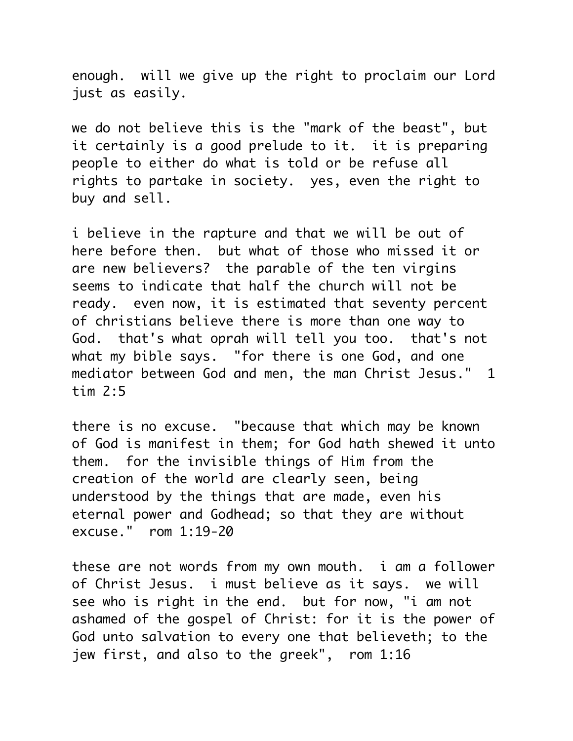enough. will we give up the right to proclaim our Lord just as easily.

we do not believe this is the "mark of the beast", but it certainly is a good prelude to it. it is preparing people to either do what is told or be refuse all rights to partake in society. yes, even the right to buy and sell.

i believe in the rapture and that we will be out of here before then. but what of those who missed it or are new believers? the parable of the ten virgins seems to indicate that half the church will not be ready. even now, it is estimated that seventy percent of christians believe there is more than one way to God. that's what oprah will tell you too. that's not what my bible says. "for there is one God, and one mediator between God and men, the man Christ Jesus." 1 tim 2:5

there is no excuse. "because that which may be known of God is manifest in them; for God hath shewed it unto them. for the invisible things of Him from the creation of the world are clearly seen, being understood by the things that are made, even his eternal power and Godhead; so that they are without excuse." rom 1:19-20

these are not words from my own mouth. i am a follower of Christ Jesus. i must believe as it says. we will see who is right in the end. but for now, "i am not ashamed of the gospel of Christ: for it is the power of God unto salvation to every one that believeth; to the jew first, and also to the greek", rom 1:16